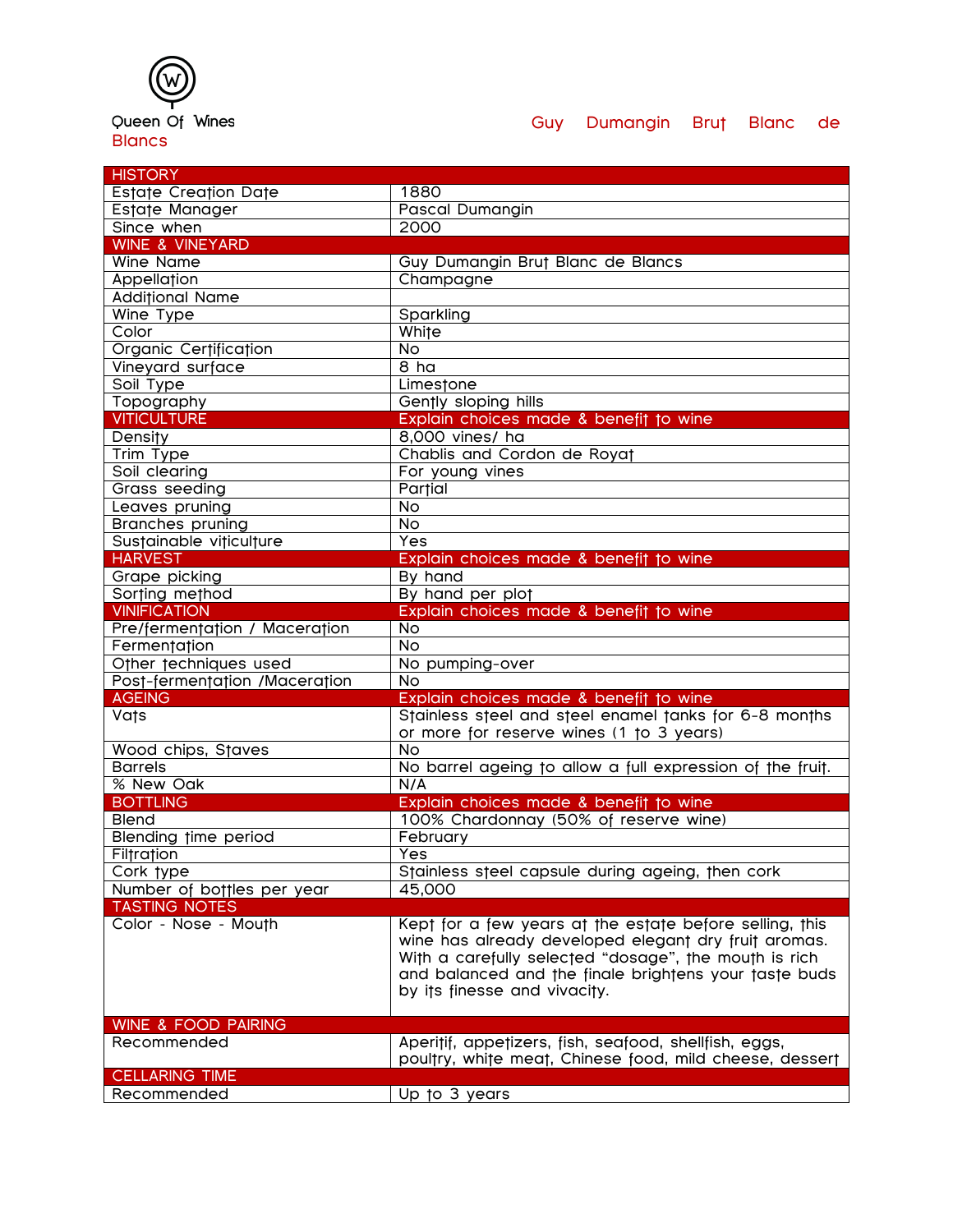## Queen Of Wines **Blancs**

## Guy Dumangin Brut Blanc de

| <b>HISTORY</b>                |                                                                                                                                                                                                                                                                   |
|-------------------------------|-------------------------------------------------------------------------------------------------------------------------------------------------------------------------------------------------------------------------------------------------------------------|
| Estate Creation Date          | 1880                                                                                                                                                                                                                                                              |
| Estate Manager                | <b>Pascal Dumangin</b>                                                                                                                                                                                                                                            |
| Since when                    | 2000                                                                                                                                                                                                                                                              |
| <b>WINE &amp; VINEYARD</b>    |                                                                                                                                                                                                                                                                   |
| Wine Name                     | Guy Dumangin Brut Blanc de Blancs                                                                                                                                                                                                                                 |
| Appellation                   | Champagne                                                                                                                                                                                                                                                         |
| <b>Additional Name</b>        |                                                                                                                                                                                                                                                                   |
| Wine Type                     | Sparkling                                                                                                                                                                                                                                                         |
| Color                         | White                                                                                                                                                                                                                                                             |
| Organic Certification         | <b>No</b>                                                                                                                                                                                                                                                         |
| Vineyard surface              | 8 <sub>ha</sub>                                                                                                                                                                                                                                                   |
| Soil Type                     | Limestone                                                                                                                                                                                                                                                         |
| Topography                    | Gently sloping hills                                                                                                                                                                                                                                              |
| <b>VITICULTURE</b>            | Explain choices made & benefit to wine                                                                                                                                                                                                                            |
| Density                       | 8,000 vines/ ha                                                                                                                                                                                                                                                   |
| Trim Type                     | Chablis and Cordon de Royat                                                                                                                                                                                                                                       |
| Soil clearing                 | For young vines                                                                                                                                                                                                                                                   |
| <b>Grass seeding</b>          | Partial                                                                                                                                                                                                                                                           |
| Leaves pruning                | $\overline{N}$                                                                                                                                                                                                                                                    |
| <b>Branches pruning</b>       | No                                                                                                                                                                                                                                                                |
| Sustainable viticulture       | Yes                                                                                                                                                                                                                                                               |
| <b>HARVEST</b>                | Explain choices made & benefit to wine                                                                                                                                                                                                                            |
| Grape picking                 | By hand                                                                                                                                                                                                                                                           |
| Sorting method                | By hand per plot                                                                                                                                                                                                                                                  |
| <b>VINIFICATION</b>           | Explain choices made & benefit to wine                                                                                                                                                                                                                            |
| Pre/fermentation / Maceration | <b>No</b>                                                                                                                                                                                                                                                         |
| Fermentation                  | $\overline{N}$                                                                                                                                                                                                                                                    |
| Other techniques used         | No pumping-over                                                                                                                                                                                                                                                   |
| Post-fermentation /Maceration | N <sub>o</sub>                                                                                                                                                                                                                                                    |
| <b>AGEING</b>                 | Explain choices made & benefit to wine                                                                                                                                                                                                                            |
| <b>Vats</b>                   | Stainless steel and steel enamel tanks for 6-8 months                                                                                                                                                                                                             |
|                               | or more for reserve wines (1 to 3 years)                                                                                                                                                                                                                          |
| Wood chips, Staves            | <b>No</b>                                                                                                                                                                                                                                                         |
| <b>Barrels</b>                | No barrel ageing to allow a full expression of the fruit.                                                                                                                                                                                                         |
| % New Oak                     | N/A                                                                                                                                                                                                                                                               |
| <b>BOTTLING</b>               | Explain choices made & benefit to wine                                                                                                                                                                                                                            |
| Blend                         | 100% Chardonnay (50% of reserve wine)                                                                                                                                                                                                                             |
| Blending time period          | February                                                                                                                                                                                                                                                          |
| Filtration                    | Yes                                                                                                                                                                                                                                                               |
| Cork type                     | Stainless steel capsule during ageing, then cork                                                                                                                                                                                                                  |
| Number of bottles per year    | 45,000                                                                                                                                                                                                                                                            |
| <b>TASTING NOTES</b>          |                                                                                                                                                                                                                                                                   |
| Color - Nose - Mouth          | Kept for a few years at the estate before selling, this<br>wine has already developed elegant dry fruit aromas.<br>With a carefully selected "dosage", the mouth is rich<br>and balanced and the finale brightens your taste buds<br>by its finesse and vivacity. |
|                               |                                                                                                                                                                                                                                                                   |
| WINE & FOOD PAIRING           |                                                                                                                                                                                                                                                                   |
| Recommended                   | Aperitif, appetizers, fish, seafood, shellfish, eggs,<br>poultry, white meat, Chinese food, mild cheese, dessert                                                                                                                                                  |
| <b>CELLARING TIME</b>         |                                                                                                                                                                                                                                                                   |
| Recommended                   | Up to 3 years                                                                                                                                                                                                                                                     |